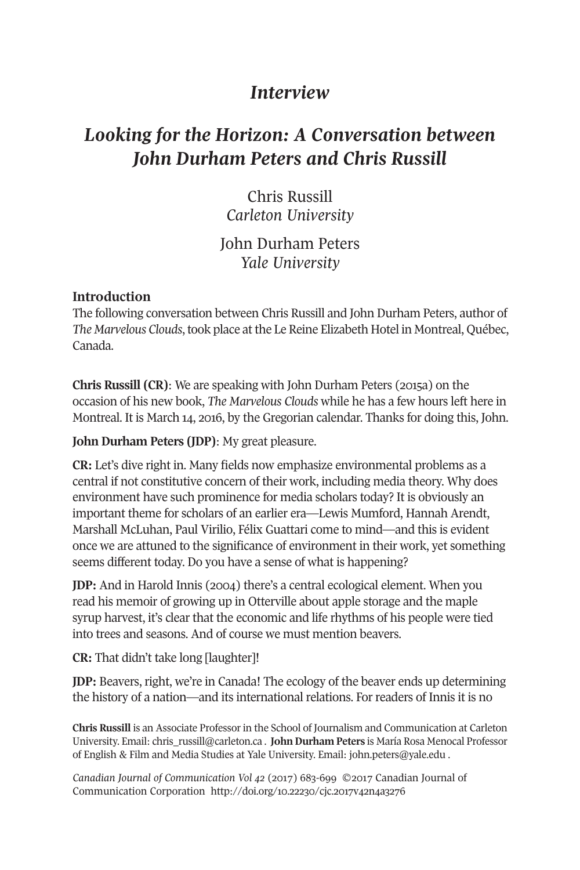## *Interview*

# *Looking for the Horizon: A Conversation between John Durham Peters and Chris Russill*

Chris Russill *Carleton University*

John Durham Peters *Yale University*

#### **Introduction**

The following conversation between Chris Russill and John Durham Peters, author of *The Marvelous Clouds*, took place at the Le Reine Elizabeth Hotel in Montreal, Ouébec, Canada.

**Chris Russill (CR)**: We are speaking with John Durham Peters (2015a) on the occasion of his new book, *The Marvelous Clouds* while he has a few hours left here in Montreal. It is March 14, 2016, by the Gregorian calendar. Thanks for doing this, John.

**John Durham Peters (JDP)**: My great pleasure.

**CR:** Let's dive right in. Many fields now emphasize environmental problems as a central if not constitutive concern of their work, including media theory. Why does environment have such prominence for media scholars today? It is obviously an important theme for scholars of an earlier era—Lewis Mumford, Hannah Arendt, Marshall McLuhan, Paul Virilio, Félix Guattari come to mind—and this is evident once we are attuned to the significance of environment in their work, yet something seems different today. Do you have a sense of what is happening?

**JDP:** And in Harold Innis (2004) there's a central ecological element. When you read his memoir of growing up in Otterville about apple storage and the maple syrup harvest, it's clear that the economic and life rhythms of his people were tied into trees and seasons. And of course we must mention beavers.

**CR:** That didn't take long [laughter]!

**JDP:** Beavers, right, we're in Canada! The ecology of the beaver ends up determining the history of a nation—and its international relations. For readers of Innis it is no

**Chris Russill** is an Associate Professor in the School of Journalism and Communication at Carleton University. Email: [chris\\_russill@carleton.ca](mailto:chris_russill@carleton.ca) . **John Durham Peters** is María Rosa Menocal Professor of English & Film and Media Studies at Yale University. Email: [john.peters@yale.edu](mailto:john.peters@yale.edu) .

*Canadian Journal of [Communication](http://www.cjc-online.ca) Vol 42* (2017) 683-699 ©2017 Canadian Journal of Communication Corporation <http://doi.org/10.22230/cjc.2017v42n4a3276>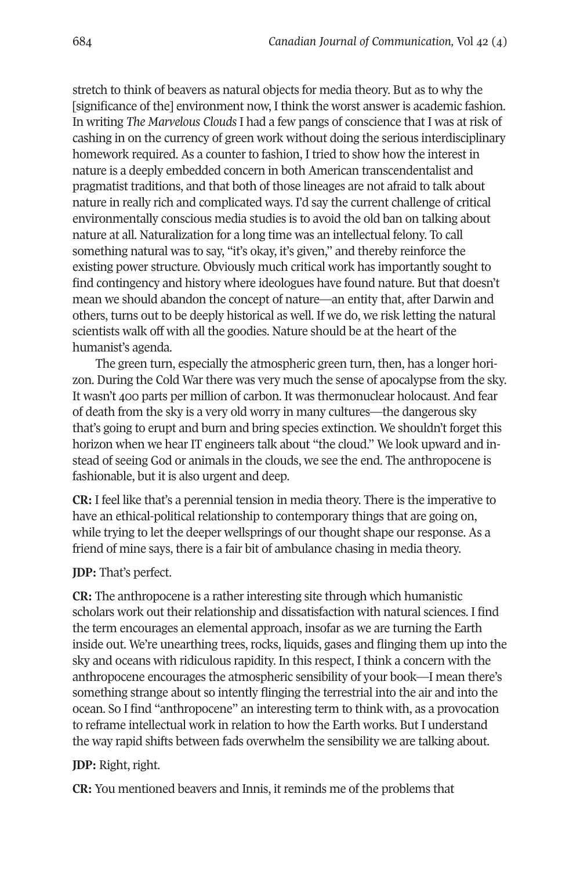stretch to think of beavers as natural objects for media theory. But as to why the [significance of the] environment now, I think the worst answer is academic fashion. In writing *The Marvelous Clouds* I had a few pangs of conscience that I was at risk of cashing in on the currency of green work without doing the serious interdisciplinary homework required. As a counter to fashion, I tried to show how the interest in nature is a deeply embedded concern in both American transcendentalist and pragmatist traditions, and that both of those lineages are not afraid to talk about nature in really rich and complicated ways. I'd say the current challenge of critical environmentally conscious media studies is to avoid the old ban on talking about nature at all. Naturalization for a long time was an intellectual felony. To call something natural was to say, "it's okay, it's given," and thereby reinforce the existing power structure. Obviously much critical work has importantly sought to find contingency and history where ideologues have found nature. But that doesn't mean we should abandon the concept of nature—an entity that, after Darwin and others, turns out to be deeply historical as well. If we do, we risk letting the natural scientists walk off with all the goodies. Nature should be at the heart of the humanist's agenda.

The green turn, especially the atmospheric green turn, then, has a longer horizon. During the Cold War there was very much the sense of apocalypse from the sky. It wasn't 400 parts per million of carbon. It was thermonuclear holocaust. And fear of death from the sky is a very old worry in many cultures—the dangerous sky that's going to erupt and burn and bring species extinction. We shouldn't forget this horizon when we hear IT engineers talk about "the cloud." We look upward and instead of seeing God or animals in the clouds, we see the end. The anthropocene is fashionable, but it is also urgent and deep.

**CR:** I feel like that's a perennial tension in media theory. There is the imperative to have an ethical-political relationship to contemporary things that are going on, while trying to let the deeper wellsprings of our thought shape our response. As a friend of mine says, there is a fair bit of ambulance chasing in media theory.

#### **JDP:** That's perfect.

**CR:** The anthropocene is a rather interesting site through which humanistic scholars work out their relationship and dissatisfaction with natural sciences. I find the term encourages an elemental approach, insofar as we are turning the Earth inside out. We're unearthing trees, rocks, liquids, gases and flinging them up into the sky and oceans with ridiculous rapidity. In this respect, I think a concern with the anthropocene encourages the atmospheric sensibility of your book—I mean there's something strange about so intently flinging the terrestrial into the air and into the ocean. So I find "anthropocene" an interesting term to think with, as a provocation to reframe intellectual work in relation to how the Earth works. But I understand the way rapid shifts between fads overwhelm the sensibility we are talking about.

#### **JDP:** Right, right.

**CR:** You mentioned beavers and Innis, it reminds me of the problems that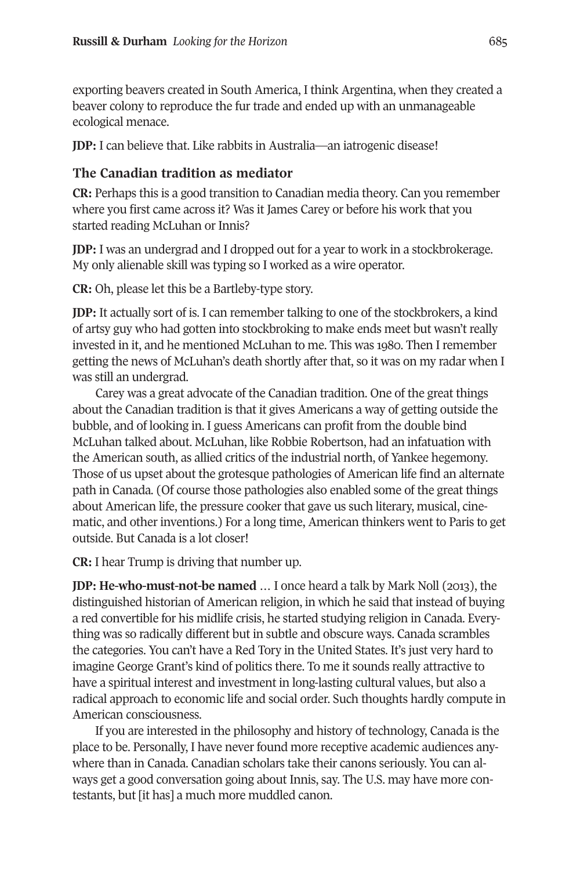exporting beavers created in South America, I think Argentina, when they created a beaver colony to reproduce the fur trade and ended up with an unmanageable ecological menace.

**JDP:** I can believe that. Like rabbits in Australia—an iatrogenic disease!

#### **The Canadian tradition as mediator**

**CR:** Perhaps this is a good transition to Canadian media theory. Can you remember where you first came across it? Was it James Carey or before his work that you started reading McLuhan or Innis?

**JDP:** I was an undergrad and I dropped out for a year to work in a stockbrokerage. My only alienable skill was typing so I worked as a wire operator.

**CR:** Oh, please let this be a Bartleby-type story.

**JDP:** It actually sort of is. I can remember talking to one of the stockbrokers, a kind of artsy guy who had gotten into stockbroking to make ends meet but wasn't really invested in it, and he mentioned McLuhan to me. This was 1980. Then I remember getting the news of McLuhan's death shortly after that, so it was on my radar when I was still an undergrad.

Carey was a great advocate of the Canadian tradition. One of the great things about the Canadian tradition is that it gives Americans a way of getting outside the bubble, and of looking in. I guess Americans can profit from the double bind McLuhan talked about. McLuhan, like Robbie Robertson, had an infatuation with the American south, as allied critics of the industrial north, of Yankee hegemony. Those of us upset about the grotesque pathologies of American life find an alternate path in Canada. (Of course those pathologies also enabled some of the great things about American life, the pressure cooker that gave us such literary, musical, cinematic, and other inventions.) For a long time, American thinkers went to Paris to get outside. But Canada is a lot closer!

**CR:** I hear Trump is driving that number up.

**JDP: He-who-must-not-be named** … I once heard a talk by Mark Noll (2013), the distinguished historian of American religion, in which he said that instead of buying a red convertible for his midlife crisis, he started studying religion in Canada. Everything was so radically different but in subtle and obscure ways. Canada scrambles the categories. You can't have a Red Tory in the United States. It's just very hard to imagine George Grant's kind of politics there. To me it sounds really attractive to have a spiritual interest and investment in long-lasting cultural values, but also a radical approach to economic life and social order. Such thoughts hardly compute in American consciousness.

If you are interested in the philosophy and history of technology, Canada is the place to be. Personally, I have never found more receptive academic audiences anywhere than in Canada. Canadian scholars take their canons seriously. You can always get a good conversation going about Innis, say. The U.S. may have more contestants, but [it has] a much more muddled canon.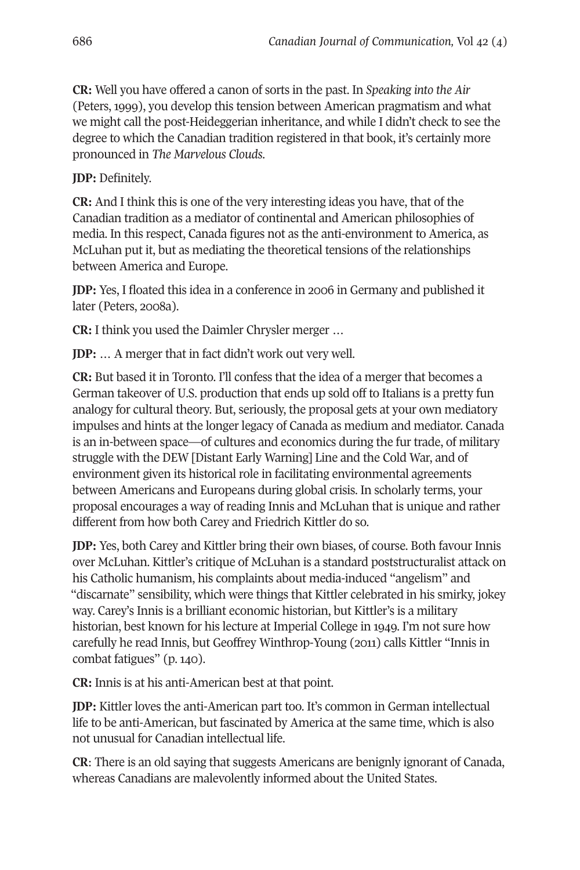**CR:** Well you have offered a canon of sorts in the past. In *Speaking into the Air* (Peters, 1999), you develop this tension between American pragmatism and what we might call the post-Heideggerian inheritance, and while I didn't check to see the degree to which the Canadian tradition registered in that book, it's certainly more pronounced in *The Marvelous Clouds*.

#### **JDP:** Definitely.

**CR:** And I think this is one of the very interesting ideas you have, that of the Canadian tradition as a mediator of continental and American philosophies of media. In this respect, Canada figures not as the anti-environment to America, as McLuhan put it, but as mediating the theoretical tensions of the relationships between America and Europe.

**JDP:** Yes, I floated this idea in a conference in 2006 in Germany and published it later (Peters, 2008a).

**CR:** I think you used the Daimler Chrysler merger …

**JDP:** … A merger that in fact didn't work out very well.

**CR:** But based it in Toronto. I'll confess that the idea of a merger that becomes a German takeover of U.S. production that ends up sold off to Italians is a pretty fun analogy for cultural theory. But, seriously, the proposal gets at your own mediatory impulses and hints at the longer legacy of Canada as medium and mediator. Canada is an in-between space—of cultures and economics during the fur trade, of military struggle with the DEW [Distant Early Warning] Line and the Cold War, and of environment given its historical role in facilitating environmental agreements between Americans and Europeans during global crisis. In scholarly terms, your proposal encourages a way of reading Innis and McLuhan that is unique and rather different from how both Carey and Friedrich Kittler do so.

**JDP:** Yes, both Carey and Kittler bring their own biases, of course. Both favour Innis over McLuhan. Kittler's critique of McLuhan is a standard poststructuralist attack on his Catholic humanism, his complaints about media-induced "angelism" and "discarnate" sensibility, which were things that Kittler celebrated in his smirky, jokey way. Carey's Innis is a brilliant economic historian, but Kittler's is a military historian, best known for his lecture at Imperial College in 1949. I'm not sure how carefully he read Innis, but Geoffrey Winthrop-Young (2011) calls Kittler "Innis in combat fatigues" (p. 140).

**CR:** Innis is at his anti-American best at that point.

**JDP:** Kittler loves the anti-American part too. It's common in German intellectual life to be anti-American, but fascinated by America at the same time, which is also not unusual for Canadian intellectual life.

**CR**: There is an old saying that suggests Americans are benignly ignorant of Canada, whereas Canadians are malevolently informed about the United States.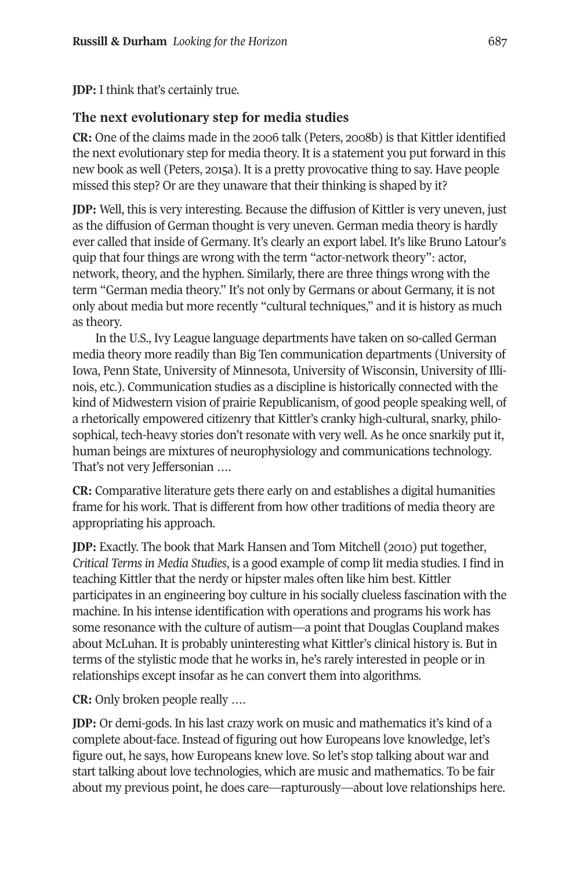**JDP:** I think that's certainly true.

#### **The next evolutionary step for media studies**

**CR:** One of the claims made in the 2006 talk (Peters, 2008b) is that Kittler identified the next evolutionary step for media theory. It is a statement you put forward in this new book as well (Peters, 2015a). It is a pretty provocative thing to say. Have people missed this step? Or are they unaware that their thinking is shaped by it?

**JDP:** Well, this is very interesting. Because the diffusion of Kittler is very uneven, just as the diffusion of German thought is very uneven. German media theory is hardly ever called that inside of Germany. It's clearly an export label. It's like Bruno Latour's quip that four things are wrong with the term "actor-network theory": actor, network, theory, and the hyphen. Similarly, there are three things wrong with the term "German media theory." It's not only by Germans or about Germany, it is not only about media but more recently "cultural techniques," and it is history as much as theory.

In the U.S., Ivy League language departments have taken on so-called German media theory more readily than Big Ten communication departments (University of Iowa, Penn State, University of Minnesota, University of Wisconsin, University of Illinois, etc.). Communication studies as a discipline is historically connected with the kind of Midwestern vision of prairie Republicanism, of good people speaking well, of a rhetorically empowered citizenry that Kittler's cranky high-cultural, snarky, philosophical, tech-heavy stories don't resonate with very well. As he once snarkily put it, human beings are mixtures of neurophysiology and communications technology. That's not very Jeffersonian ….

**CR:** Comparative literature gets there early on and establishes a digital humanities frame for his work. That is different from how other traditions of media theory are appropriating his approach.

**JDP:** Exactly. The book that Mark Hansen and Tom Mitchell (2010) put together, *Critical Terms in Media Studies*, is a good example of comp lit media studies. I find in teaching Kittler that the nerdy or hipster males often like him best. Kittler participates in an engineering boy culture in his socially clueless fascination with the machine. In his intense identification with operations and programs his work has some resonance with the culture of autism—a point that Douglas Coupland makes about McLuhan. It is probably uninteresting what Kittler's clinical history is. But in terms of the stylistic mode that he works in, he's rarely interested in people or in relationships except insofar as he can convert them into algorithms.

**CR:** Only broken people really ….

**JDP:** Or demi-gods. In his last crazy work on music and mathematics it's kind of a complete about-face. Instead of figuring out how Europeans love knowledge, let's figure out, he says, how Europeans knew love. So let's stop talking about war and start talking about love technologies, which are music and mathematics. To be fair about my previous point, he does care—rapturously—about love relationships here.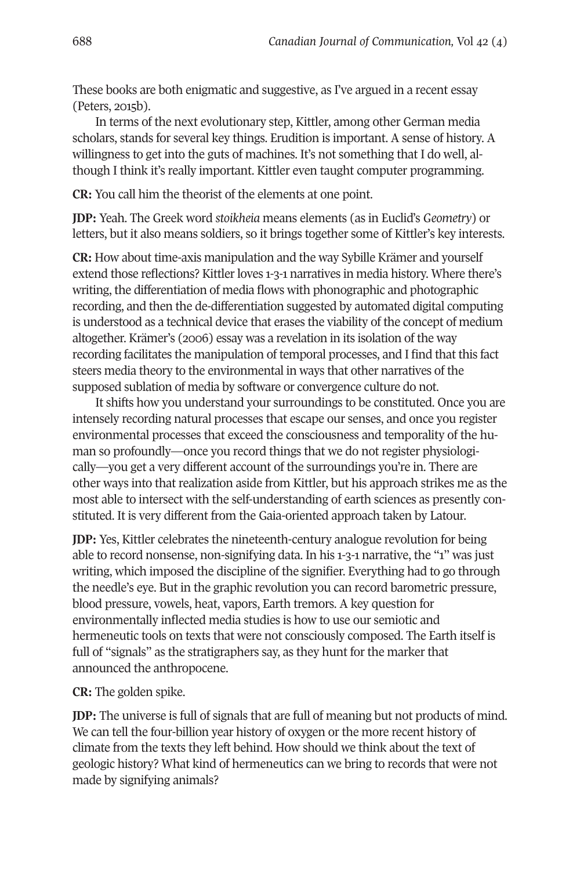These books are both enigmatic and suggestive, as I've argued in a recent essay (Peters, 2015b).

In terms of the next evolutionary step, Kittler, among other German media scholars, stands for several key things. Erudition is important. A sense of history. A willingness to get into the guts of machines. It's not something that I do well, although I think it's really important. Kittler even taught computer programming.

**CR:** You call him the theorist of the elements at one point.

**JDP:** Yeah. The Greek word *stoikheia* means elements (as in Euclid's *Geometry*) or letters, but it also means soldiers, so it brings together some of Kittler's key interests.

**CR:** How about time-axis manipulation and the way Sybille Krämer and yourself extend those reflections? Kittler loves 1-3-1 narratives in media history. Where there's writing, the differentiation of media flows with phonographic and photographic recording, and then the de-differentiation suggested by automated digital computing is understood as a technical device that erases the viability of the concept of medium altogether. Krämer's (2006) essay was a revelation in its isolation of the way recording facilitates the manipulation of temporal processes, and I find that this fact steers media theory to the environmental in ways that other narratives of the supposed sublation of media by software or convergence culture do not.

It shifts how you understand your surroundings to be constituted. Once you are intensely recording natural processes that escape our senses, and once you register environmental processes that exceed the consciousness and temporality of the human so profoundly—once you record things that we do not register physiologically—you get a very different account of the surroundings you're in. There are other ways into that realization aside from Kittler, but his approach strikes me as the most able to intersect with the self-understanding of earth sciences as presently constituted. It is very different from the Gaia-oriented approach taken by Latour.

**JDP:** Yes, Kittler celebrates the nineteenth-century analogue revolution for being able to record nonsense, non-signifying data. In his 1-3-1 narrative, the "1" was just writing, which imposed the discipline of the signifier. Everything had to go through the needle's eye. But in the graphic revolution you can record barometric pressure, blood pressure, vowels, heat, vapors, Earth tremors. A key question for environmentally inflected media studies is how to use our semiotic and hermeneutic tools on texts that were not consciously composed. The Earth itself is full of "signals" as the stratigraphers say, as they hunt for the marker that announced the anthropocene.

**CR:** The golden spike.

**JDP:** The universe is full of signals that are full of meaning but not products of mind. We can tell the four-billion year history of oxygen or the more recent history of climate from the texts they left behind. How should we think about the text of geologic history? What kind of hermeneutics can we bring to records that were not made by signifying animals?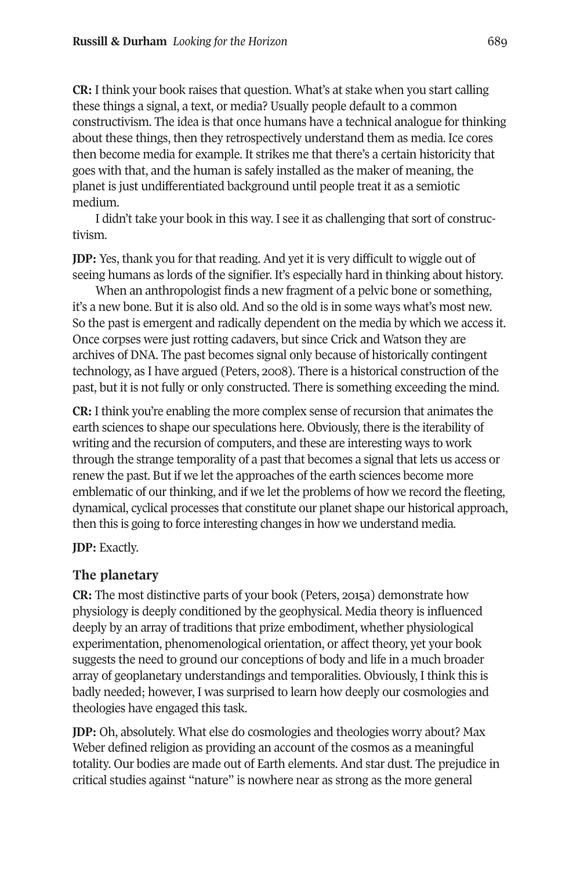**CR:** I think your book raises that question. What's at stake when you start calling these things a signal, a text, or media? Usually people default to a common constructivism. The idea is that once humans have a technical analogue for thinking about these things, then they retrospectively understand them as media. Ice cores then become media for example. It strikes me that there's a certain historicity that goes with that, and the human is safely installed as the maker of meaning, the planet is just undifferentiated background until people treat it as a semiotic medium.

I didn't take your book in this way. I see it as challenging that sort of constructivism.

**JDP:** Yes, thank you for that reading. And yet it is very difficult to wiggle out of seeing humans as lords of the signifier. It's especially hard in thinking about history.

When an anthropologist finds a new fragment of a pelvic bone or something, it's a new bone. But it is also old. And so the old is in some ways what's most new. So the past is emergent and radically dependent on the media by which we access it. Once corpses were just rotting cadavers, but since Crick and Watson they are archives of DNA. The past becomes signal only because of historically contingent technology, as I have argued (Peters, 2008). There is a historical construction of the past, but it is not fully or only constructed. There is something exceeding the mind.

**CR:** I think you're enabling the more complex sense of recursion that animates the earth sciences to shape our speculations here. Obviously, there is the iterability of writing and the recursion of computers, and these are interesting ways to work through the strange temporality of a past that becomes a signal that lets us access or renew the past. But if we let the approaches of the earth sciences become more emblematic of our thinking, and if we let the problems of how we record the fleeting, dynamical, cyclical processes that constitute our planet shape our historical approach, then this is going to force interesting changes in how we understand media.

**JDP:** Exactly.

## **The planetary**

**CR:** The most distinctive parts of your book (Peters, 2015a) demonstrate how physiology is deeply conditioned by the geophysical. Media theory is influenced deeply by an array of traditions that prize embodiment, whether physiological experimentation, phenomenological orientation, or affect theory, yet your book suggests the need to ground our conceptions of body and life in a much broader array of geoplanetary understandings and temporalities. Obviously, I think this is badly needed; however, I was surprised to learn how deeply our cosmologies and theologies have engaged this task.

**JDP:** Oh, absolutely. What else do cosmologies and theologies worry about? Max Weber defined religion as providing an account of the cosmos as a meaningful totality. Our bodies are made out of Earth elements. And star dust. The prejudice in critical studies against "nature" is nowhere near as strong as the more general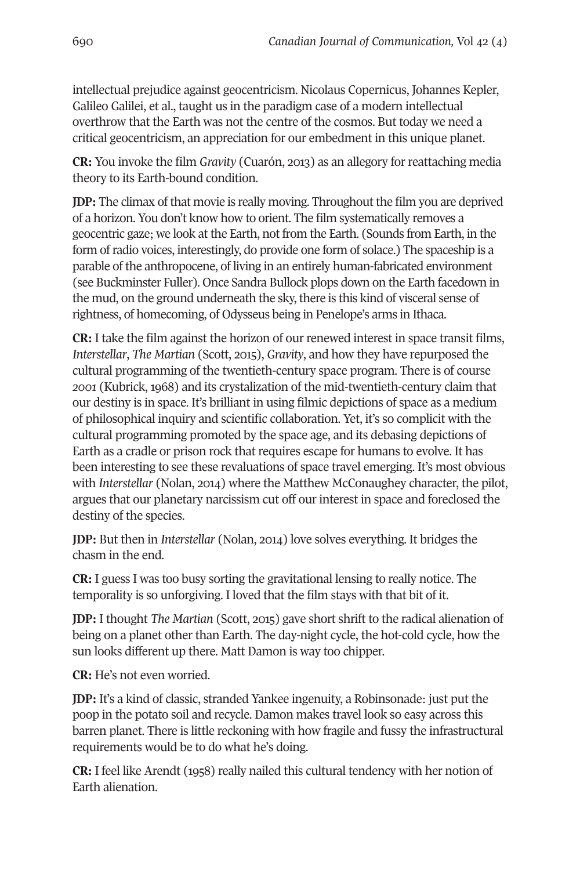intellectual prejudice against geocentricism. Nicolaus Copernicus, Johannes Kepler, Galileo Galilei, et al., taught us in the paradigm case of a modern intellectual overthrow that the Earth was not the centre of the cosmos. But today we need a critical geocentricism, an appreciation for our embedment in this unique planet.

**CR:** You invoke the film *Gravity* (Cuarón, 2013) as an allegory for reattaching media theory to its Earth-bound condition.

**JDP:** The climax of that movie is really moving. Throughout the film you are deprived of a horizon. You don't know how to orient. The film systematically removes a geocentric gaze; we look at the Earth, not from the Earth. (Sounds from Earth, in the form ofradio voices, interestingly, do provide one form of solace.) The spaceship is a parable of the anthropocene, of living in an entirely human-fabricated environment (see Buckminster Fuller). Once Sandra Bullock plops down on the Earth facedown in the mud, on the ground underneath the sky, there is this kind of visceral sense of rightness, of homecoming, of Odysseus being in Penelope's arms in Ithaca.

**CR:** I take the film against the horizon of our renewed interest in space transit films, *Interstellar*, *The Martian* (Scott, 2015), *Gravity*, and how they have repurposed the cultural programming of the twentieth-century space program. There is of course *2001* (Kubrick, 1968) and its crystalization of the mid-twentieth-century claim that our destiny is in space. It's brilliant in using filmic depictions of space as a medium of philosophical inquiry and scientific collaboration. Yet, it's so complicit with the cultural programming promoted by the space age, and its debasing depictions of Earth as a cradle or prison rock that requires escape for humans to evolve. It has been interesting to see these revaluations of space travel emerging. It's most obvious with *Interstellar* (Nolan, 2014) where the Matthew McConaughey character, the pilot, argues that our planetary narcissism cut off our interest in space and foreclosed the destiny of the species.

**JDP:** But then in *Interstellar* (Nolan, 2014) love solves everything. It bridges the chasm in the end.

**CR:** I guess I was too busy sorting the gravitational lensing to really notice. The temporality is so unforgiving. I loved that the film stays with that bit of it.

**JDP:** I thought *The Martian* (Scott, 2015) gave short shrift to the radical alienation of being on a planet other than Earth. The day-night cycle, the hot-cold cycle, how the sun looks different up there. Matt Damon is way too chipper.

**CR:** He's not even worried.

**JDP:** It's a kind of classic, stranded Yankee ingenuity, a Robinsonade: just put the poop in the potato soil and recycle. Damon makes travel look so easy across this barren planet. There is little reckoning with how fragile and fussy the infrastructural requirements would be to do what he's doing.

**CR:** I feel like Arendt (1958) really nailed this cultural tendency with her notion of Earth alienation.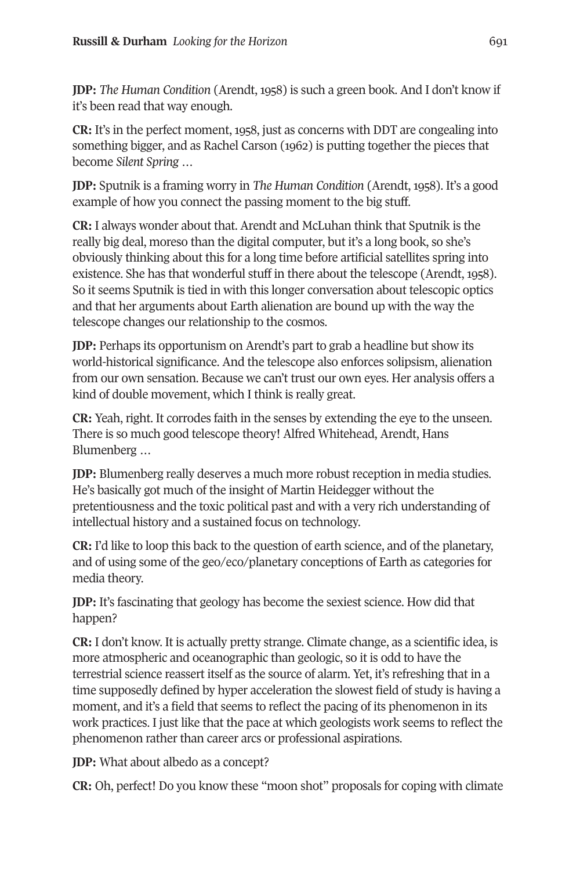**JDP:** *The Human Condition* (Arendt, 1958) is such a green book. And I don't know if it's been read that way enough.

**CR:** It's in the perfect moment, 1958, just as concerns with DDT are congealing into something bigger, and as Rachel Carson (1962) is putting together the pieces that become *Silent Spring* …

**JDP:** Sputnik is a framing worry in *The Human Condition* (Arendt, 1958). It's a good example of how you connect the passing moment to the big stuff.

**CR:** I always wonder about that. Arendt and McLuhan think that Sputnik is the really big deal, moreso than the digital computer, but it's a long book, so she's obviously thinking about this for a long time before artificial satellites spring into existence. She has that wonderful stuff in there about the telescope (Arendt, 1958). So it seems Sputnik is tied in with this longer conversation about telescopic optics and that her arguments about Earth alienation are bound up with the way the telescope changes our relationship to the cosmos.

**JDP:** Perhaps its opportunism on Arendt's part to grab a headline but show its world-historical significance. And the telescope also enforces solipsism, alienation from our own sensation. Because we can't trust our own eyes. Her analysis offers a kind of double movement, which I think is really great.

**CR:** Yeah, right. It corrodes faith in the senses by extending the eye to the unseen. There is so much good telescope theory! Alfred Whitehead, Arendt, Hans Blumenberg …

**JDP:** Blumenberg really deserves a much more robust reception in media studies. He's basically got much of the insight of Martin Heidegger without the pretentiousness and the toxic political past and with a very rich understanding of intellectual history and a sustained focus on technology.

**CR:** I'd like to loop this back to the question of earth science, and of the planetary, and of using some of the geo/eco/planetary conceptions of Earth as categories for media theory.

**JDP:** It's fascinating that geology has become the sexiest science. How did that happen?

**CR:** I don't know. It is actually pretty strange. Climate change, as a scientific idea, is more atmospheric and oceanographic than geologic, so it is odd to have the terrestrial science reassert itself as the source of alarm. Yet, it's refreshing that in a time supposedly defined by hyper acceleration the slowest field of study is having a moment, and it's a field that seems to reflect the pacing of its phenomenon in its work practices. I just like that the pace at which geologists work seems to reflect the phenomenon rather than career arcs or professional aspirations.

**JDP:** What about albedo as a concept?

**CR:** Oh, perfect! Do you know these "moon shot" proposals for coping with climate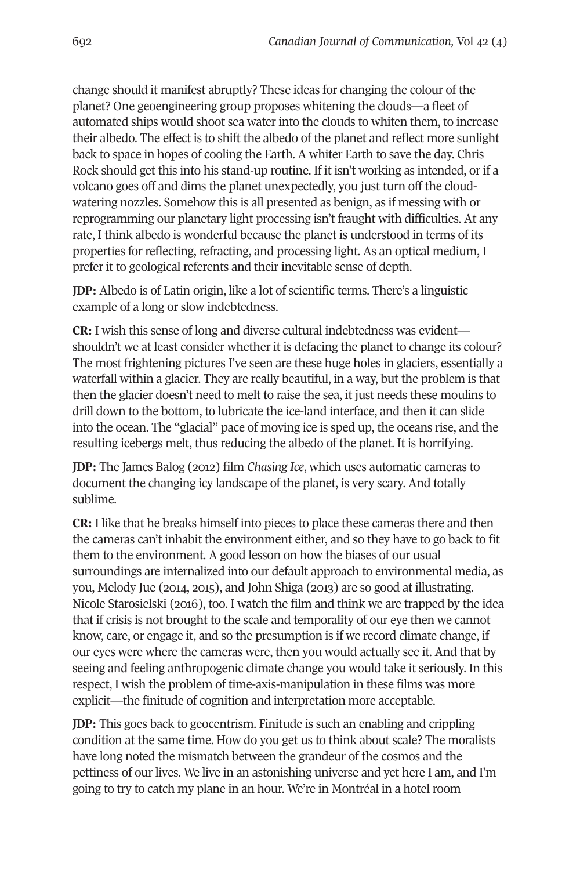change should it manifest abruptly? These ideas for changing the colour of the planet? One geoengineering group proposes whitening the clouds—a fleet of automated ships would shoot sea water into the clouds to whiten them, to increase their albedo. The effect is to shift the albedo of the planet and reflect more sunlight back to space in hopes of cooling the Earth. A whiter Earth to save the day. Chris Rock should get this into his stand-up routine. If it isn't working as intended, or if a volcano goes off and dims the planet unexpectedly, you just turn off the cloudwatering nozzles. Somehow this is all presented as benign, as if messing with or reprogramming our planetary light processing isn't fraught with difficulties. At any rate, I think albedo is wonderful because the planet is understood in terms of its properties for reflecting, refracting, and processing light. As an optical medium, I prefer it to geological referents and their inevitable sense of depth.

**JDP:** Albedo is of Latin origin, like a lot of scientific terms. There's a linguistic example of a long or slow indebtedness.

**CR:** I wish this sense of long and diverse cultural indebtedness was evident shouldn't we at least consider whether it is defacing the planet to change its colour? The most frightening pictures I've seen are these huge holes in glaciers, essentially a waterfall within a glacier. They are really beautiful, in a way, but the problem is that then the glacier doesn't need to melt to raise the sea, it just needs these moulins to drill down to the bottom, to lubricate the ice-land interface, and then it can slide into the ocean. The "glacial" pace of moving ice is sped up, the oceans rise, and the resulting icebergs melt, thus reducing the albedo of the planet. It is horrifying.

**JDP:** The James Balog (2012) film *Chasing Ice*, which uses automatic cameras to document the changing icy landscape of the planet, is very scary. And totally sublime.

**CR:** I like that he breaks himself into pieces to place these cameras there and then the cameras can't inhabit the environment either, and so they have to go back to fit them to the environment. A good lesson on how the biases of our usual surroundings are internalized into our default approach to environmental media, as you, Melody Jue (2014, 2015), and John Shiga (2013) are so good at illustrating. Nicole Starosielski (2016), too. I watch the film and think we are trapped by the idea that if crisis is not brought to the scale and temporality of our eye then we cannot know, care, or engage it, and so the presumption is if we record climate change, if our eyes were where the cameras were, then you would actually see it. And that by seeing and feeling anthropogenic climate change you would take it seriously. In this respect, I wish the problem of time-axis-manipulation in these films was more explicit—the finitude of cognition and interpretation more acceptable.

**JDP:** This goes back to geocentrism. Finitude is such an enabling and crippling condition at the same time. How do you get us to think about scale? The moralists have long noted the mismatch between the grandeur of the cosmos and the pettiness of our lives. We live in an astonishing universe and yet here I am, and I'm going to try to catch my plane in an hour. We're in Montréal in a hotel room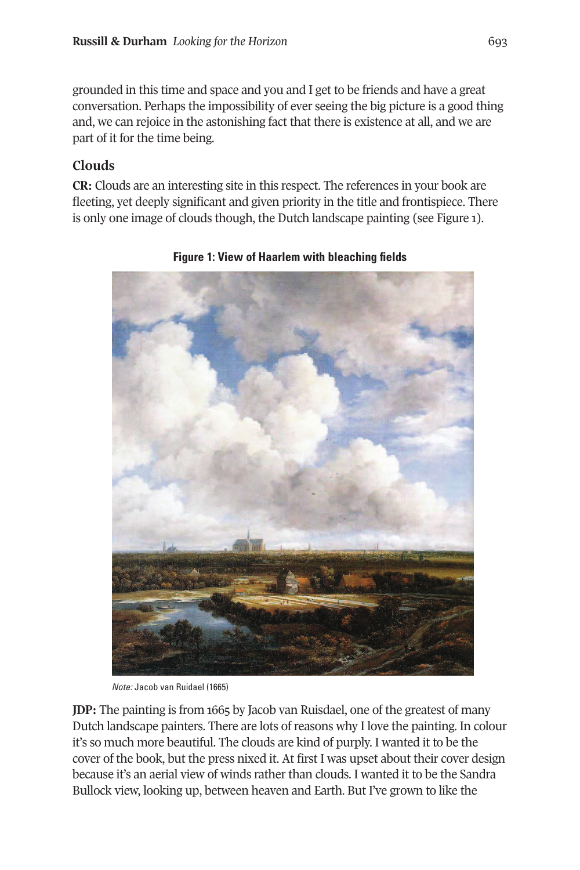grounded in this time and space and you and I get to be friends and have a great conversation. Perhaps the impossibility of ever seeing the big picture is a good thing and, we can rejoice in the astonishing fact that there is existence at all, and we are part of it for the time being.

## **Clouds**

**CR:** Clouds are an interesting site in this respect. The references in your book are fleeting, yet deeply significant and given priority in the title and frontispiece. There is only one image of clouds though, the Dutch landscape painting (see Figure 1).



**Figure 1: View of Haarlem with bleaching fields**

*Note:* Jacob van Ruidael (1665)

**JDP:** The painting is from 1665 by Jacob van Ruisdael, one of the greatest of many Dutch landscape painters. There are lots of reasons why I love the painting. In colour it's so much more beautiful. The clouds are kind of purply. I wanted it to be the cover of the book, but the press nixed it. At first I was upset about their cover design because it's an aerial view of winds rather than clouds. I wanted it to be the Sandra Bullock view, looking up, between heaven and Earth. But I've grown to like the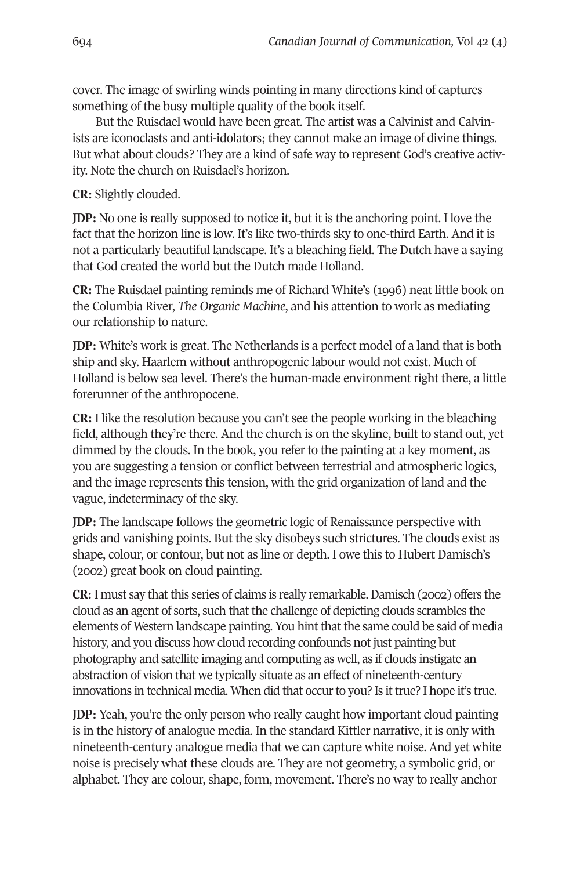cover. The image of swirling winds pointing in many directions kind of captures something of the busy multiple quality of the book itself.

But the Ruisdael would have been great. The artist was a Calvinist and Calvinists are iconoclasts and anti-idolators; they cannot make an image of divine things. But what about clouds? They are a kind of safe way to represent God's creative activity. Note the church on Ruisdael's horizon.

**CR:** Slightly clouded.

**JDP:** No one is really supposed to notice it, but it is the anchoring point. I love the fact that the horizon line is low. It's like two-thirds sky to one-third Earth. And it is not a particularly beautiful landscape. It's a bleaching field. The Dutch have a saying that God created the world but the Dutch made Holland.

**CR:** The Ruisdael painting reminds me of Richard White's (1996) neat little book on the Columbia River, *The Organic Machine*, and his attention to work as mediating our relationship to nature.

**JDP:** White's work is great. The Netherlands is a perfect model of a land that is both ship and sky. Haarlem without anthropogenic labour would not exist. Much of Holland is below sea level. There's the human-made environment right there, a little forerunner of the anthropocene.

**CR:** I like the resolution because you can't see the people working in the bleaching field, although they're there. And the church is on the skyline, built to stand out, yet dimmed by the clouds. In the book, you refer to the painting at a key moment, as you are suggesting a tension or conflict between terrestrial and atmospheric logics, and the image represents this tension, with the grid organization of land and the vague, indeterminacy of the sky.

**JDP:** The landscape follows the geometric logic of Renaissance perspective with grids and vanishing points. But the sky disobeys such strictures. The clouds exist as shape, colour, or contour, but not as line or depth. I owe this to Hubert Damisch's (2002) great book on cloud painting.

**CR:** I must say that this series of claims is really remarkable.Damisch (2002) offers the cloud as an agent of sorts, such that the challenge of depicting clouds scrambles the elements of Western landscape painting. You hint that the same could be said of media history, and you discuss how cloud recording confounds not just painting but photography and satellite imaging and computing as well, as if clouds instigate an abstraction of vision that we typically situate as an effect of nineteenth-century innovations in technical media. When did that occur to you? Is it true? I hope it's true.

**JDP:** Yeah, you're the only person who really caught how important cloud painting is in the history of analogue media. In the standard Kittler narrative, it is only with nineteenth-century analogue media that we can capture white noise. And yet white noise is precisely what these clouds are. They are not geometry, a symbolic grid, or alphabet. They are colour, shape, form, movement. There's no way to really anchor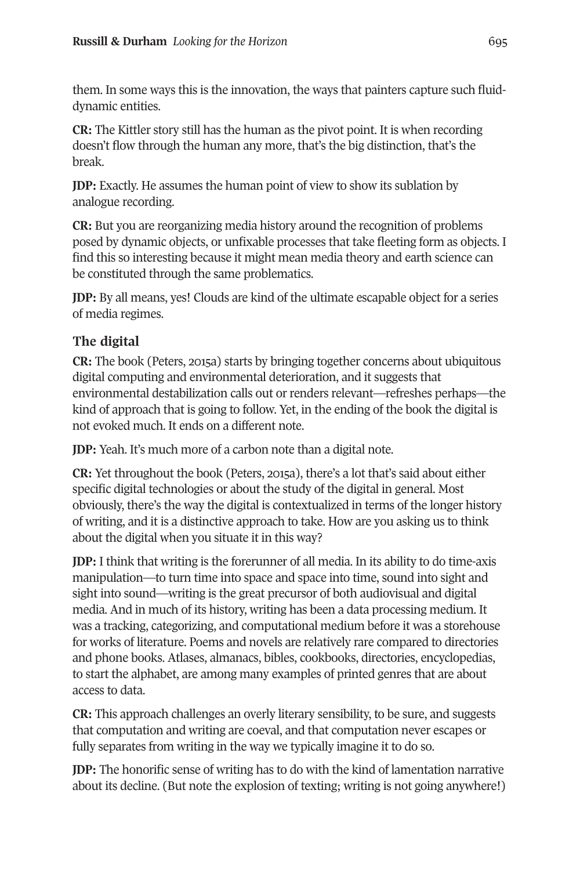them. In some ways this is the innovation, the ways that painters capture such fluiddynamic entities.

**CR:** The Kittler story still has the human as the pivot point. It is when recording doesn't flow through the human any more, that's the big distinction, that's the break.

**JDP:** Exactly. He assumes the human point of view to show its sublation by analogue recording.

**CR:** But you are reorganizing media history around the recognition of problems posed by dynamic objects, or unfixable processes that take fleeting form as objects. I find this so interesting because it might mean media theory and earth science can be constituted through the same problematics.

**JDP:** By all means, yes! Clouds are kind of the ultimate escapable object for a series of media regimes.

## **The digital**

**CR:** The book (Peters, 2015a) starts by bringing together concerns about ubiquitous digital computing and environmental deterioration, and it suggests that environmental destabilization calls out or renders relevant—refreshes perhaps—the kind of approach that is going to follow. Yet, in the ending of the book the digital is not evoked much. It ends on a different note.

**JDP:** Yeah. It's much more of a carbon note than a digital note.

**CR:** Yet throughout the book (Peters, 2015a), there's a lot that's said about either specific digital technologies or about the study of the digital in general. Most obviously, there's the way the digital is contextualized in terms of the longer history of writing, and it is a distinctive approach to take. How are you asking us to think about the digital when you situate it in this way?

**JDP:** I think that writing is the forerunner of all media. In its ability to do time-axis manipulation—to turn time into space and space into time, sound into sight and sight into sound—writing is the great precursor of both audiovisual and digital media. And in much of its history, writing has been a data processing medium. It was a tracking, categorizing, and computational medium before it was a storehouse for works of literature. Poems and novels are relatively rare compared to directories and phone books. Atlases, almanacs, bibles, cookbooks, directories, encyclopedias, to start the alphabet, are among many examples of printed genres that are about access to data.

**CR:** This approach challenges an overly literary sensibility, to be sure, and suggests that computation and writing are coeval, and that computation never escapes or fully separates from writing in the way we typically imagine it to do so.

**JDP:** The honorific sense of writing has to do with the kind of lamentation narrative about its decline. (But note the explosion of texting; writing is not going anywhere!)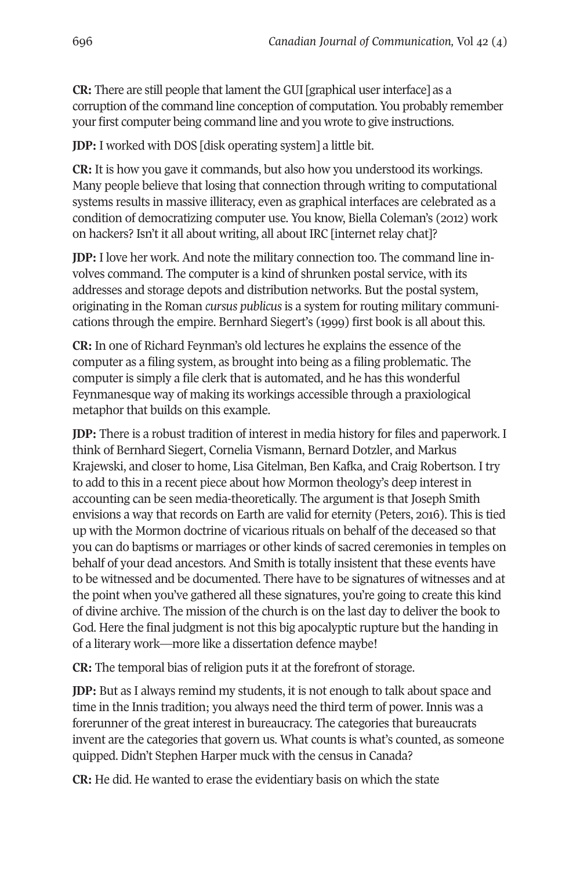**CR:** There are still people that lament the GUI [graphical userinterface] as a corruption of the command line conception of computation. You probably remember your first computer being command line and you wrote to give instructions.

**JDP:** I worked with DOS [disk operating system] a little bit.

**CR:** It is how you gave it commands, but also how you understood its workings. Many people believe that losing that connection through writing to computational systems results in massive illiteracy, even as graphical interfaces are celebrated as a condition of democratizing computer use. You know, Biella Coleman's (2012) work on hackers? Isn't it all about writing, all about IRC [internet relay chat]?

**JDP:** I love her work. And note the military connection too. The command line involves command. The computer is a kind of shrunken postal service, with its addresses and storage depots and distribution networks. But the postal system, originating in the Roman *cursus publicus* is a system for routing military communications through the empire. Bernhard Siegert's (1999) first book is all about this.

**CR:** In one of Richard Feynman's old lectures he explains the essence of the computer as a filing system, as brought into being as a filing problematic. The computer is simply a file clerk that is automated, and he has this wonderful Feynmanesque way of making its workings accessible through a praxiological metaphor that builds on this example.

**JDP:** There is a robust tradition of interest in media history for files and paperwork. I think of Bernhard Siegert, Cornelia Vismann, Bernard Dotzler, and Markus Krajewski, and closer to home, Lisa Gitelman, Ben Kafka, and Craig Robertson. I try to add to this in a recent piece about how Mormon theology's deep interest in accounting can be seen media-theoretically. The argument is that Joseph Smith envisions a way that records on Earth are valid for eternity (Peters, 2016). This is tied up with the Mormon doctrine of vicarious rituals on behalf of the deceased so that you can do baptisms or marriages or other kinds of sacred ceremonies in temples on behalf of your dead ancestors. And Smith is totally insistent that these events have to be witnessed and be documented. There have to be signatures of witnesses and at the point when you've gathered all these signatures, you're going to create this kind of divine archive. The mission of the church is on the last day to deliver the book to God. Here the final judgment is not this big apocalyptic rupture but the handing in of a literary work—more like a dissertation defence maybe!

**CR:** The temporal bias of religion puts it at the forefront of storage.

**JDP:** But as I always remind my students, it is not enough to talk about space and time in the Innis tradition; you always need the third term of power. Innis was a forerunner of the great interest in bureaucracy. The categories that bureaucrats invent are the categories that govern us. What counts is what's counted, as someone quipped. Didn't Stephen Harper muck with the census in Canada?

**CR:** He did. He wanted to erase the evidentiary basis on which the state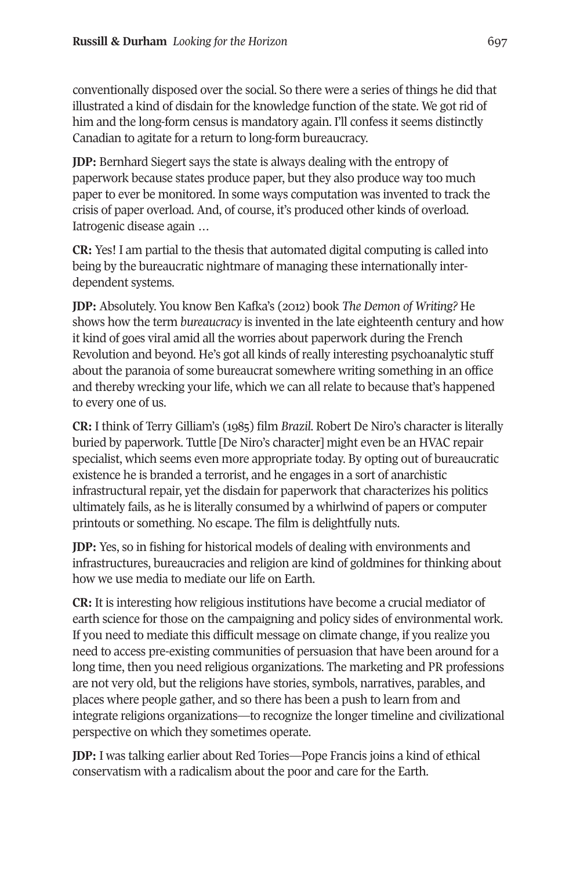conventionally disposed over the social. So there were a series of things he did that illustrated a kind of disdain for the knowledge function of the state. We got rid of him and the long-form census is mandatory again. I'll confess it seems distinctly Canadian to agitate for a return to long-form bureaucracy.

**JDP:** Bernhard Siegert says the state is always dealing with the entropy of paperwork because states produce paper, but they also produce way too much paper to ever be monitored. In some ways computation was invented to track the crisis of paper overload. And, of course, it's produced other kinds of overload. Iatrogenic disease again …

**CR:** Yes! I am partial to the thesis that automated digital computing is called into being by the bureaucratic nightmare of managing these internationally interdependent systems.

**JDP:** Absolutely. You know Ben Kafka's (2012) book *The Demon of Writing?* He shows how the term *bureaucracy* is invented in the late eighteenth century and how it kind of goes viral amid all the worries about paperwork during the French Revolution and beyond. He's got all kinds of really interesting psychoanalytic stuff about the paranoia of some bureaucrat somewhere writing something in an office and thereby wrecking your life, which we can all relate to because that's happened to every one of us.

**CR:** I think of Terry Gilliam's (1985) film *Brazil*. Robert De Niro's character is literally buried by paperwork. Tuttle [De Niro's character] might even be an HVAC repair specialist, which seems even more appropriate today. By opting out of bureaucratic existence he is branded a terrorist, and he engages in a sort of anarchistic infrastructural repair, yet the disdain for paperwork that characterizes his politics ultimately fails, as he is literally consumed by a whirlwind of papers or computer printouts or something. No escape. The film is delightfully nuts.

**JDP:** Yes, so in fishing for historical models of dealing with environments and infrastructures, bureaucracies and religion are kind of goldmines for thinking about how we use media to mediate our life on Earth.

**CR:** It is interesting how religious institutions have become a crucial mediator of earth science for those on the campaigning and policy sides of environmental work. If you need to mediate this difficult message on climate change, if you realize you need to access pre-existing communities of persuasion that have been around for a long time, then you need religious organizations. The marketing and PR professions are not very old, but the religions have stories, symbols, narratives, parables, and places where people gather, and so there has been a push to learn from and integrate religions organizations—to recognize the longer timeline and civilizational perspective on which they sometimes operate.

**JDP:** I was talking earlier about Red Tories—Pope Francis joins a kind of ethical conservatism with a radicalism about the poor and care for the Earth.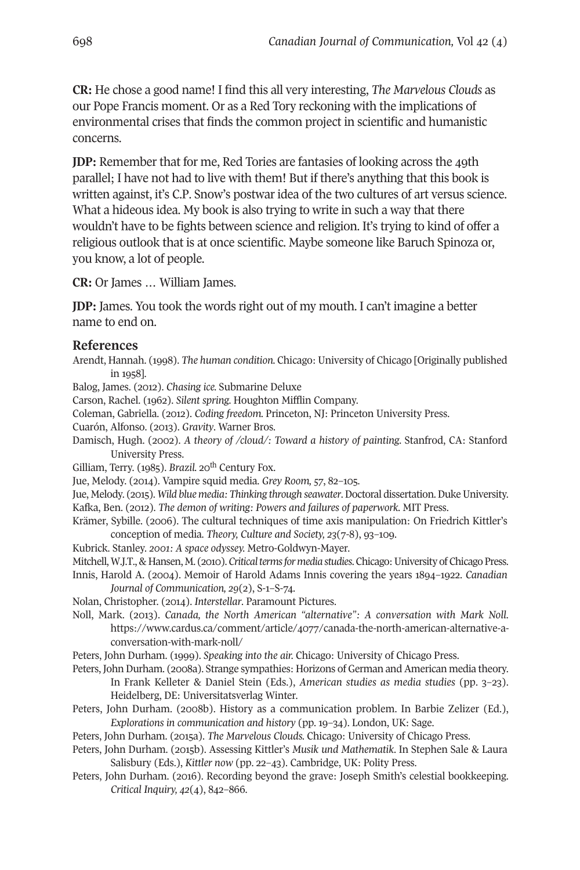**CR:** He chose a good name! I find this all very interesting, *The Marvelous Clouds* as our Pope Francis moment. Or as a Red Tory reckoning with the implications of environmental crises that finds the common project in scientific and humanistic concerns.

**JDP:** Remember that for me, Red Tories are fantasies of looking across the 49th parallel; I have not had to live with them! But if there's anything that this book is written against, it's C.P. Snow's postwar idea of the two cultures of art versus science. What a hideous idea. My book is also trying to write in such a way that there wouldn't have to be fights between science and religion. It's trying to kind of offer a religious outlook that is at once scientific. Maybe someone like Baruch Spinoza or, you know, a lot of people.

**CR:** Or James … William James.

**JDP:** James. You took the words right out of my mouth. I can't imagine a better name to end on.

#### **References**

- Arendt, Hannah. (1998). *The human condition.* Chicago: University of Chicago [Originally published in 1958].
- Balog, James. (2012). *Chasing ice.* Submarine Deluxe
- Carson, Rachel. (1962). *Silent spring.* Houghton Mifflin Company.
- Coleman, Gabriella. (2012). *Coding freedom.* Princeton, NJ: Princeton University Press.
- Cuarón, Alfonso. (2013). *Gravity*. Warner Bros.
- Damisch, Hugh. (2002). *A theory of /cloud/: Toward a history of painting.* Stanfrod, CA: Stanford University Press.
- Gilliam, Terry. (1985). *Brazil.* 20<sup>th</sup> Century Fox.
- Jue, Melody. (2014). Vampire squid media. *Grey Room, 57*, 82–105.
- Jue, Melody. (2015). *Wild blue media: Thinking through seawater*.Doctoral dissertation.DukeUniversity. Kafka, Ben. (2012). *The demon of writing: Powers and failures of paperwork.* MIT Press.
- Krämer, Sybille. (2006). The cultural techniques of time axis manipulation: On Friedrich Kittler's conception of media. *Theory, Culture and Society, 23*(7-8), 93–109.
- Kubrick. Stanley. *2001: A space odyssey.* Metro-Goldwyn-Mayer.
- Mitchell,W.J.T.,&Hansen,M. (2010).*Criticaltermsfor media studies*.Chicago:University ofChicagoPress.
- Innis, Harold A. (2004). Memoir of Harold Adams Innis covering the years 1894–1922. *Canadian Journal of Communication, 29*(2), S-1–S-74.
- Nolan, Christopher. (2014). *Interstellar*. Paramount Pictures.
- Noll, Mark. (2013). *Canada, the North American "alternative": A conversation with Mark Noll.* [https://www.cardus.ca/comment/article/4077/canada-the-north-american-alternative-a](https://www.cardus.ca/comment/article/4077/canada-the-north-american-alternative-a-conversation-with-mark-noll)[conversation-with-mark-noll/](https://www.cardus.ca/comment/article/4077/canada-the-north-american-alternative-a-conversation-with-mark-noll)
- Peters, John Durham. (1999). *Speaking into the air.* Chicago: University of Chicago Press.
- Peters, John Durham. (2008a). Strange sympathies: Horizons of German and American media theory. In Frank Kelleter & Daniel Stein (Eds.), *American studies as media studies* (pp. 3–23). Heidelberg, DE: Universitatsverlag Winter.
- Peters, John Durham. (2008b). History as a communication problem. In Barbie Zelizer (Ed.), *Explorations in communication and history* (pp. 19–34). London, UK: Sage.
- Peters, John Durham. (2015a). *The Marvelous Clouds.* Chicago: University of Chicago Press.
- Peters, John Durham. (2015b). Assessing Kittler's *Musik und Mathematik*. In Stephen Sale & Laura Salisbury (Eds.), *Kittler now* (pp. 22–43). Cambridge, UK: Polity Press.
- Peters, John Durham. (2016). Recording beyond the grave: Joseph Smith's celestial bookkeeping. *Critical Inquiry, 42*(4), 842–866.